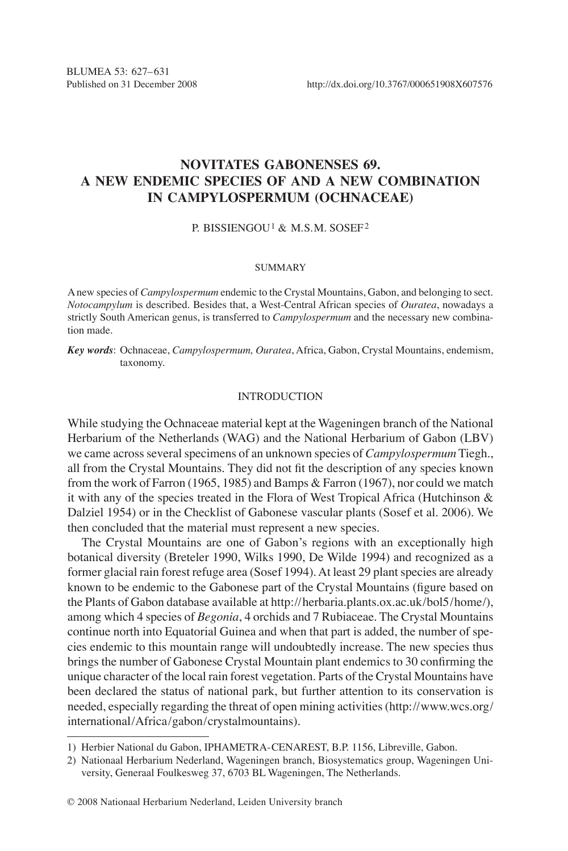# **Novitates Gabonenses 69. A new endemic species of and a new combination in Campylospermum (Ochnaceae)**

#### P. BISSIENGOU1 & M.S.M. SOSEF2

#### SUMMARY

A new species of *Campylospermum* endemic to the Crystal Mountains, Gabon, and belonging to sect. *Notocampylum* is described. Besides that, a West-Central African species of *Ouratea*, nowadays a strictly South American genus, is transferred to *Campylospermum* and the necessary new combination made.

*Key words*: Ochnaceae, *Campylospermum, Ouratea*, Africa, Gabon, Crystal Mountains, endemism, taxonomy.

#### INTRODUCTION

While studying the Ochnaceae material kept at the Wageningen branch of the National Herbarium of the Netherlands (WAG) and the National Herbarium of Gabon (LBV) we came across several specimens of an unknown species of *Campylospermum* Tiegh., all from the Crystal Mountains. They did not fit the description of any species known from the work of Farron (1965, 1985) and Bamps & Farron (1967), nor could we match it with any of the species treated in the Flora of West Tropical Africa (Hutchinson & Dalziel 1954) or in the Checklist of Gabonese vascular plants (Sosef et al. 2006). We then concluded that the material must represent a new species.

The Crystal Mountains are one of Gabon's regions with an exceptionally high botanical diversity (Breteler 1990, Wilks 1990, De Wilde 1994) and recognized as a former glacial rain forest refuge area (Sosef 1994). At least 29 plant species are already known to be endemic to the Gabonese part of the Crystal Mountains (figure based on the Plants of Gabon database available at http://herbaria.plants.ox.ac.uk/bol5/home/), among which 4 species of *Begonia*, 4 orchids and 7 Rubiaceae. The Crystal Mountains continue north into Equatorial Guinea and when that part is added, the number of species endemic to this mountain range will undoubtedly increase. The new species thus brings the number of Gabonese Crystal Mountain plant endemics to 30 confirming the unique character of the local rain forest vegetation. Parts of the Crystal Mountains have been declared the status of national park, but further attention to its conservation is needed, especially regarding the threat of open mining activities (http://www.wcs.org/ international/Africa/gabon/crystalmountains).

<sup>1)</sup> Herbier National du Gabon, IPHAMETRA-CENAREST, B.P. 1156, Libreville, Gabon.

<sup>2)</sup> Nationaal Herbarium Nederland, Wageningen branch, Biosystematics group, Wageningen University, Generaal Foulkesweg 37, 6703 BL Wageningen, The Netherlands.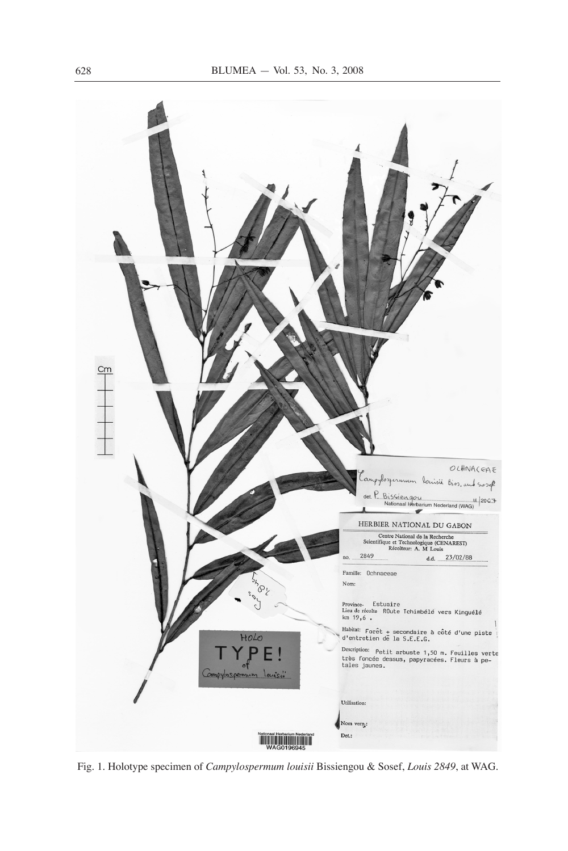

Fig. 1. Holotype specimen of *Campylospermum louisii* Bissiengou & Sosef, *Louis 2849*, at WAG.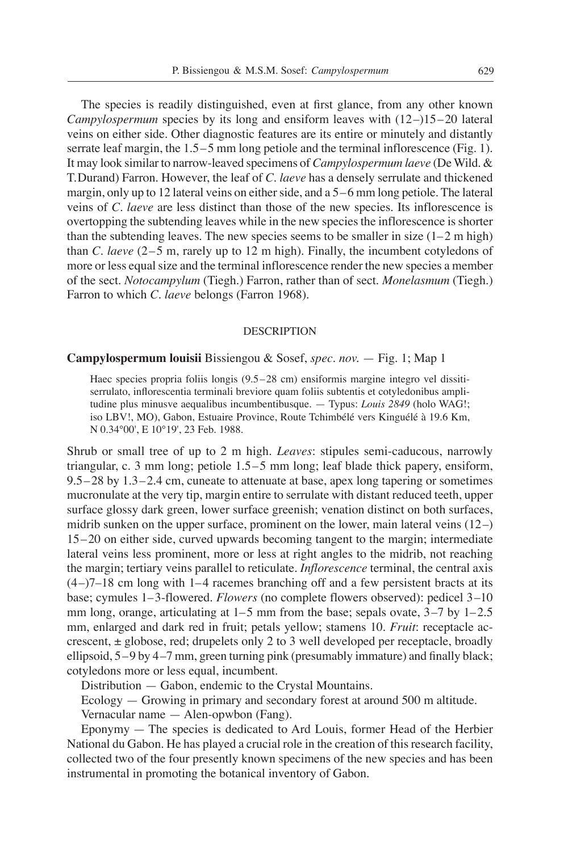The species is readily distinguished, even at first glance, from any other known *Campylospermum* species by its long and ensiform leaves with (12–)15–20 lateral veins on either side. Other diagnostic features are its entire or minutely and distantly serrate leaf margin, the 1.5–5 mm long petiole and the terminal inflorescence (Fig. 1). It may look similar to narrow-leaved specimens of *Campylospermum laeve* (De Wild. & T.Durand) Farron. However, the leaf of *C. laeve* has a densely serrulate and thickened margin, only up to 12 lateral veins on either side, and a 5–6 mm long petiole. The lateral veins of *C*. *laeve* are less distinct than those of the new species. Its inflorescence is overtopping the subtending leaves while in the new species the inflorescence is shorter than the subtending leaves. The new species seems to be smaller in size  $(1-2 \text{ m high})$ than *C*. *laeve* (2–5 m, rarely up to 12 m high). Finally, the incumbent cotyledons of more or less equal size and the terminal inflorescence render the new species a member of the sect. *Notocampylum* (Tiegh.) Farron, rather than of sect. *Monelasmum* (Tiegh.) Farron to which *C*. *laeve* belongs (Farron 1968).

#### DESCRIPTION

## **Campylospermum louisii** Bissiengou & Sosef, *spec. nov.* — Fig. 1; Map 1

Haec species propria foliis longis (9.5–28 cm) ensiformis margine integro vel dissitiserrulato, inflorescentia terminali breviore quam foliis subtentis et cotyledonibus amplitudine plus minusve aequalibus incumbentibusque. — Typus: *Louis 2849* (holo WAG!; iso LBV!, MO), Gabon, Estuaire Province, Route Tchimbélé vers Kinguélé à 19.6 Km, N 0.34°00', E 10°19', 23 Feb. 1988.

Shrub or small tree of up to 2 m high. *Leaves*: stipules semi-caducous, narrowly triangular, c. 3 mm long; petiole 1.5–5 mm long; leaf blade thick papery, ensiform, 9.5–28 by 1.3–2.4 cm, cuneate to attenuate at base, apex long tapering or sometimes mucronulate at the very tip, margin entire to serrulate with distant reduced teeth, upper surface glossy dark green, lower surface greenish; venation distinct on both surfaces, midrib sunken on the upper surface, prominent on the lower, main lateral veins (12–) 15–20 on either side, curved upwards becoming tangent to the margin; intermediate lateral veins less prominent, more or less at right angles to the midrib, not reaching the margin; tertiary veins parallel to reticulate. *Inflorescence* terminal, the central axis  $(4-)7-18$  cm long with 1–4 racemes branching off and a few persistent bracts at its base; cymules 1–3-flowered. *Flowers* (no complete flowers observed): pedicel 3–10 mm long, orange, articulating at 1–5 mm from the base; sepals ovate, 3–7 by 1–2.5 mm, enlarged and dark red in fruit; petals yellow; stamens 10. *Fruit*: receptacle accrescent,  $\pm$  globose, red; drupelets only 2 to 3 well developed per receptacle, broadly ellipsoid, 5–9 by 4–7 mm, green turning pink (presumably immature) and finally black; cotyledons more or less equal, incumbent.

Distribution — Gabon, endemic to the Crystal Mountains.

Ecology — Growing in primary and secondary forest at around 500 m altitude.

Vernacular name — Alen-opwbon (Fang).

Eponymy — The species is dedicated to Ard Louis, former Head of the Herbier National du Gabon. He has played a crucial role in the creation of this research facility, collected two of the four presently known specimens of the new species and has been instrumental in promoting the botanical inventory of Gabon.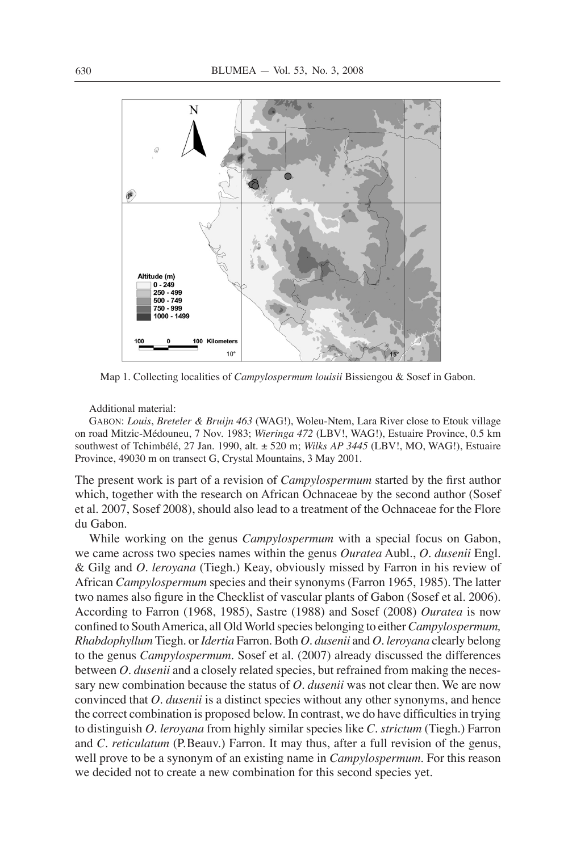

Map 1. Collecting localities of *Campylospermum louisii* Bissiengou & Sosef in Gabon.

Additional material:

Gabon: *Louis*, *Breteler & Bruijn 463* (WAG!), Woleu-Ntem, Lara River close to Etouk village on road Mitzic-Médouneu, 7 Nov. 1983; *Wieringa 472* (LBV!, WAG!), Estuaire Province, 0.5 km southwest of Tchimbélé, 27 Jan. 1990, alt. ± 520 m; *Wilks AP 3445* (LBV!, MO, WAG!), Estuaire Province, 49030 m on transect G, Crystal Mountains, 3 May 2001.

The present work is part of a revision of *Campylospermum* started by the first author which, together with the research on African Ochnaceae by the second author (Sosef et al. 2007, Sosef 2008), should also lead to a treatment of the Ochnaceae for the Flore du Gabon.

While working on the genus *Campylospermum* with a special focus on Gabon, we came across two species names within the genus *Ouratea* Aubl., *O. dusenii* Engl. & Gilg and *O. leroyana* (Tiegh.) Keay, obviously missed by Farron in his review of African *Campylospermum* species and their synonyms (Farron 1965, 1985). The latter two names also figure in the Checklist of vascular plants of Gabon (Sosef et al. 2006). According to Farron (1968, 1985), Sastre (1988) and Sosef (2008) *Ouratea* is now confined to South America, all Old World species belonging to either *Campylospermum, Rhabdophyllum* Tiegh. or *Idertia* Farron*.* Both *O. dusenii* and *O. leroyana* clearly belong to the genus *Campylospermum.* Sosef et al. (2007) already discussed the differences between *O. dusenii* and a closely related species, but refrained from making the necessary new combination because the status of *O. dusenii* was not clear then. We are now convinced that *O. dusenii* is a distinct species without any other synonyms, and hence the correct combination is proposed below. In contrast, we do have difficulties in trying to distinguish *O. leroyana* from highly similar species like *C. strictum* (Tiegh.) Farron and *C. reticulatum* (P.Beauv.) Farron. It may thus, after a full revision of the genus, well prove to be a synonym of an existing name in *Campylospermum.* For this reason we decided not to create a new combination for this second species yet.